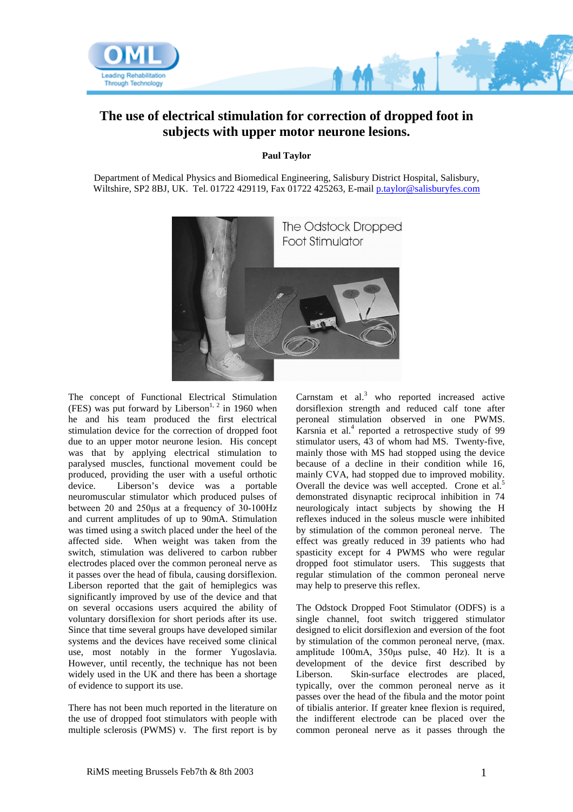

## **The use of electrical stimulation for correction of dropped foot in subjects with upper motor neurone lesions.**

**Paul Taylor**

Department of Medical Physics and Biomedical Engineering, Salisbury District Hospital, Salisbury, Wiltshire, SP2 8BJ, UK. Tel. 01722 429119, Fax 01722 425263, E-mail [p.taylor@salisburyfes.com](mailto:p.taylor@salisburyfes.com)



The concept of Functional Electrical Stimulation (FES) was put forward by Liberson<sup>1, 2</sup> in 1960 when he and his team produced the first electrical stimulation device for the correction of dropped foot due to an upper motor neurone lesion. His concept was that by applying electrical stimulation to paralysed muscles, functional movement could be produced, providing the user with a useful orthotic device. Liberson's device was a portable neuromuscular stimulator which produced pulses of between 20 and 250μs at a frequency of 30-100Hz and current amplitudes of up to 90mA. Stimulation was timed using a switch placed under the heel of the affected side. When weight was taken from the switch, stimulation was delivered to carbon rubber electrodes placed over the common peroneal nerve as it passes over the head of fibula, causing dorsiflexion. Liberson reported that the gait of hemiplegics was significantly improved by use of the device and that on several occasions users acquired the ability of voluntary dorsiflexion for short periods after its use. Since that time several groups have developed similar systems and the devices have received some clinical use, most notably in the former Yugoslavia. However, until recently, the technique has not been widely used in the UK and there has been a shortage of evidence to support its use.

There has not been much reported in the literature on the use of dropped foot stimulators with people with multiple sclerosis (PWMS) v. The first report is by Carnstam et al. $3$  who reported increased active dorsiflexion strength and reduced calf tone after peroneal stimulation observed in one PWMS. Karsnia et al.<sup>4</sup> reported a retrospective study of 99 stimulator users, 43 of whom had MS. Twenty-five, mainly those with MS had stopped using the device because of a decline in their condition while 16, mainly CVA, had stopped due to improved mobility. Overall the device was well accepted. Crone et al.<sup>5</sup> demonstrated disynaptic reciprocal inhibition in 74 neurologicaly intact subjects by showing the H reflexes induced in the soleus muscle were inhibited by stimulation of the common peroneal nerve. The effect was greatly reduced in 39 patients who had spasticity except for 4 PWMS who were regular dropped foot stimulator users. This suggests that regular stimulation of the common peroneal nerve may help to preserve this reflex.

The Odstock Dropped Foot Stimulator (ODFS) is a single channel, foot switch triggered stimulator designed to elicit dorsiflexion and eversion of the foot by stimulation of the common peroneal nerve, (max. amplitude 100mA, 350μs pulse, 40 Hz). It is a development of the device first described by Liberson. Skin-surface electrodes are placed, typically, over the common peroneal nerve as it passes over the head of the fibula and the motor point of tibialis anterior. If greater knee flexion is required, the indifferent electrode can be placed over the common peroneal nerve as it passes through the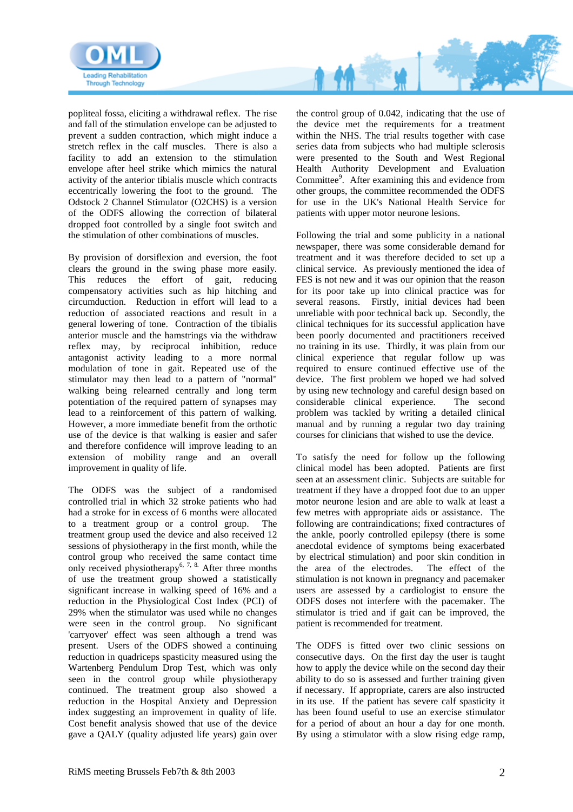

popliteal fossa, eliciting a withdrawal reflex. The rise and fall of the stimulation envelope can be adjusted to prevent a sudden contraction, which might induce a stretch reflex in the calf muscles. There is also a facility to add an extension to the stimulation envelope after heel strike which mimics the natural activity of the anterior tibialis muscle which contracts eccentrically lowering the foot to the ground. The Odstock 2 Channel Stimulator (O2CHS) is a version of the ODFS allowing the correction of bilateral dropped foot controlled by a single foot switch and the stimulation of other combinations of muscles.

By provision of dorsiflexion and eversion, the foot clears the ground in the swing phase more easily. This reduces the effort of gait, reducing compensatory activities such as hip hitching and circumduction. Reduction in effort will lead to a reduction of associated reactions and result in a general lowering of tone. Contraction of the tibialis anterior muscle and the hamstrings via the withdraw reflex may, by reciprocal inhibition, reduce antagonist activity leading to a more normal modulation of tone in gait. Repeated use of the stimulator may then lead to a pattern of "normal" walking being relearned centrally and long term potentiation of the required pattern of synapses may lead to a reinforcement of this pattern of walking. However, a more immediate benefit from the orthotic use of the device is that walking is easier and safer and therefore confidence will improve leading to an extension of mobility range and an overall improvement in quality of life.

The ODFS was the subject of a randomised controlled trial in which 32 stroke patients who had had a stroke for in excess of 6 months were allocated to a treatment group or a control group. The treatment group used the device and also received 12 sessions of physiotherapy in the first month, while the control group who received the same contact time only received physiotherapy<sup>6, 7, 8</sup>. After three months of use the treatment group showed a statistically significant increase in walking speed of 16% and a reduction in the Physiological Cost Index (PCI) of 29% when the stimulator was used while no changes were seen in the control group. No significant 'carryover' effect was seen although a trend was present. Users of the ODFS showed a continuing reduction in quadriceps spasticity measured using the Wartenberg Pendulum Drop Test, which was only seen in the control group while physiotherapy continued. The treatment group also showed a reduction in the Hospital Anxiety and Depression index suggesting an improvement in quality of life. Cost benefit analysis showed that use of the device gave a QALY (quality adjusted life years) gain over

the control group of 0.042, indicating that the use of the device met the requirements for a treatment within the NHS. The trial results together with case series data from subjects who had multiple sclerosis were presented to the South and West Regional Health Authority Development and Evaluation Committee<sup>9</sup>. After examining this and evidence from other groups, the committee recommended the ODFS for use in the UK's National Health Service for patients with upper motor neurone lesions.

Following the trial and some publicity in a national newspaper, there was some considerable demand for treatment and it was therefore decided to set up a clinical service. As previously mentioned the idea of FES is not new and it was our opinion that the reason for its poor take up into clinical practice was for several reasons. Firstly, initial devices had been unreliable with poor technical back up. Secondly, the clinical techniques for its successful application have been poorly documented and practitioners received no training in its use. Thirdly, it was plain from our clinical experience that regular follow up was required to ensure continued effective use of the device. The first problem we hoped we had solved by using new technology and careful design based on considerable clinical experience. The second considerable clinical experience. problem was tackled by writing a detailed clinical manual and by running a regular two day training courses for clinicians that wished to use the device.

To satisfy the need for follow up the following clinical model has been adopted. Patients are first seen at an assessment clinic. Subjects are suitable for treatment if they have a dropped foot due to an upper motor neurone lesion and are able to walk at least a few metres with appropriate aids or assistance. The following are contraindications; fixed contractures of the ankle, poorly controlled epilepsy (there is some anecdotal evidence of symptoms being exacerbated by electrical stimulation) and poor skin condition in the area of the electrodes. The effect of the stimulation is not known in pregnancy and pacemaker users are assessed by a cardiologist to ensure the ODFS doses not interfere with the pacemaker. The stimulator is tried and if gait can be improved, the patient is recommended for treatment.

The ODFS is fitted over two clinic sessions on consecutive days. On the first day the user is taught how to apply the device while on the second day their ability to do so is assessed and further training given if necessary. If appropriate, carers are also instructed in its use. If the patient has severe calf spasticity it has been found useful to use an exercise stimulator for a period of about an hour a day for one month. By using a stimulator with a slow rising edge ramp,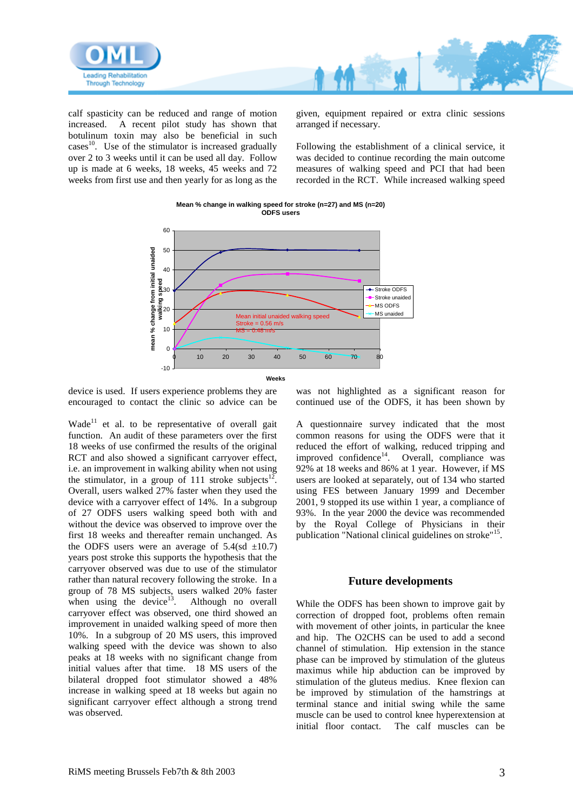

calf spasticity can be reduced and range of motion increased. A recent pilot study has shown that botulinum toxin may also be beneficial in such cases $^{10}$ . Use of the stimulator is increased gradually over 2 to 3 weeks until it can be used all day. Follow up is made at 6 weeks, 18 weeks, 45 weeks and 72 weeks from first use and then yearly for as long as the

given, equipment repaired or extra clinic sessions arranged if necessary.

Following the establishment of a clinical service, it was decided to continue recording the main outcome measures of walking speed and PCI that had been recorded in the RCT. While increased walking speed



**Mean % change in walking speed for stroke (n=27) and MS (n=20) ODFS users**

device is used. If users experience problems they are encouraged to contact the clinic so advice can be

Wade<sup>11</sup> et al. to be representative of overall gait function. An audit of these parameters over the first 18 weeks of use confirmed the results of the original RCT and also showed a significant carryover effect, i.e. an improvement in walking ability when not using the stimulator, in a group of 111 stroke subjects<sup>12</sup>. Overall, users walked 27% faster when they used the device with a carryover effect of 14%. In a subgroup of 27 ODFS users walking speed both with and without the device was observed to improve over the first 18 weeks and thereafter remain unchanged. As the ODFS users were an average of  $5.4$ (sd  $\pm 10.7$ ) years post stroke this supports the hypothesis that the carryover observed was due to use of the stimulator rather than natural recovery following the stroke. In a group of 78 MS subjects, users walked 20% faster when using the device $13$ . Although no overall carryover effect was observed, one third showed an improvement in unaided walking speed of more then 10%. In a subgroup of 20 MS users, this improved walking speed with the device was shown to also peaks at 18 weeks with no significant change from initial values after that time. 18 MS users of the bilateral dropped foot stimulator showed a 48% increase in walking speed at 18 weeks but again no significant carryover effect although a strong trend was observed.

was not highlighted as a significant reason for continued use of the ODFS, it has been shown by

A questionnaire survey indicated that the most common reasons for using the ODFS were that it reduced the effort of walking, reduced tripping and improved confidence<sup>14</sup>. Overall, compliance was 92% at 18 weeks and 86% at 1 year. However, if MS users are looked at separately, out of 134 who started using FES between January 1999 and December 2001, 9 stopped its use within 1 year, a compliance of 93%. In the year 2000 the device was recommended by the Royal College of Physicians in their publication "National clinical guidelines on stroke"<sup>15</sup>.

## **Future developments**

While the ODFS has been shown to improve gait by correction of dropped foot, problems often remain with movement of other joints, in particular the knee and hip. The O2CHS can be used to add a second channel of stimulation. Hip extension in the stance phase can be improved by stimulation of the gluteus maximus while hip abduction can be improved by stimulation of the gluteus medius. Knee flexion can be improved by stimulation of the hamstrings at terminal stance and initial swing while the same muscle can be used to control knee hyperextension at initial floor contact. The calf muscles can be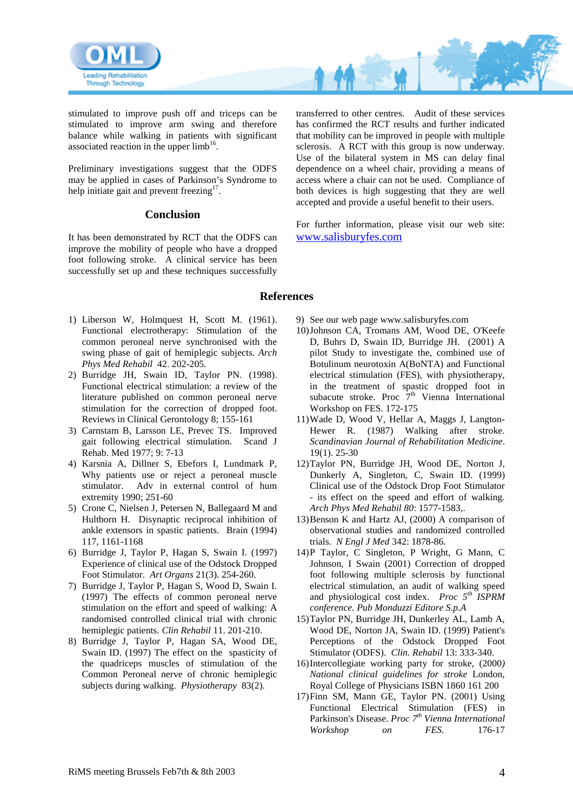

stimulated to improve push off and triceps can be stimulated to improve arm swing and therefore balance while walking in patients with significant associated reaction in the upper  $limb<sup>16</sup>$ .

Preliminary investigations suggest that the ODFS may be applied in cases of Parkinson's Syndrome to help initiate gait and prevent freezing $17$ .

## **Conclusion**

It has been demonstrated by RCT that the ODFS can improve the mobility of people who have a dropped foot following stroke. A clinical service has been successfully set up and these techniques successfully

transferred to other centres. Audit of these services has confirmed the RCT results and further indicated that mobility can be improved in people with multiple sclerosis. A RCT with this group is now underway. Use of the bilateral system in MS can delay final dependence on a wheel chair, providing a means of access where a chair can not be used. Compliance of both devices is high suggesting that they are well accepted and provide a useful benefit to their users.

For further information, please visit our web site: [www.salisburyfes.com](http://www.salisburyfes.com/)

## **References**

- 1) Liberson W, Holmquest H, Scott M. (1961). Functional electrotherapy: Stimulation of the common peroneal nerve synchronised with the swing phase of gait of hemiplegic subjects. *Arch Phys Med Rehabil* 42. 202-205*.*
- 2) Burridge JH, Swain ID, Taylor PN. (1998). Functional electrical stimulation: a review of the literature published on common peroneal nerve stimulation for the correction of dropped foot. Reviews in Clinical Gerontology 8; 155-161
- 3) Carnstam B, Larsson LE, Prevec TS. Improved gait following electrical stimulation. Scand J Rehab. Med 1977; 9: 7-13
- 4) Karsnia A, Dillner S, Ebefors I, Lundmark P, Why patients use or reject a peroneal muscle stimulator. Adv in external control of hum extremity 1990; 251-60
- 5) Crone C, Nielsen J, Petersen N, Ballegaard M and Hultborn H. Disynaptic reciprocal inhibition of ankle extensors in spastic patients. Brain (1994) 117, 1161-1168
- 6) Burridge J, Taylor P, Hagan S, Swain I. (1997) Experience of clinical use of the Odstock Dropped Foot Stimulator. *Art Organs* 21(3). 254-260.
- 7) Burridge J, Taylor P, Hagan S, Wood D, Swain I. (1997) The effects of common peroneal nerve stimulation on the effort and speed of walking: A randomised controlled clinical trial with chronic hemiplegic patients. *Clin Rehabil* 11. 201-210.
- 8) Burridge J, Taylor P, Hagan SA, Wood DE, Swain ID. (1997) The effect on the spasticity of the quadriceps muscles of stimulation of the Common Peroneal nerve of chronic hemiplegic subjects during walking. *Physiotherapy* 83(2).
- 9) See our webpage [www.salisburyfes.com](http://www.salisburyfes.com/)
- 10)Johnson CA, Tromans AM, Wood DE, O'Keefe D, Buhrs D, Swain ID, Burridge JH. (2001) A pilot Study to investigate the, combined use of Botulinum neurotoxin A(BoNTA) and Functional electrical stimulation (FES), with physiotherapy, in the treatment of spastic dropped foot in subacute stroke. Proc  $7<sup>th</sup>$  Vienna International Workshop on FES. 172-175
- 11)Wade D, Wood V, Hellar A, Maggs J, Langton-Hewer R. (1987) Walking after stroke. *Scandinavian Journal of Rehabilitation Medicine*. 19(1). 25-30
- 12)Taylor PN, Burridge JH, Wood DE, Norton J, Dunkerly A, Singleton, C, Swain ID. (1999) Clinical use of the Odstock Drop Foot Stimulator - its effect on the speed and effort of walking. *Arch Phys Med Rehabil 80*: 1577-1583,.
- 13)Benson K and Hartz AJ, (2000) A comparison of observational studies and randomized controlled trials. *N Engl J Med* 342: 1878-86.
- 14)P Taylor, C Singleton, P Wright, G Mann, C Johnson, I Swain (2001) Correction of dropped foot following multiple sclerosis by functional electrical stimulation, an audit of walking speed and physiological cost index. *Proc 5th ISPRM conference. Pub Monduzzi Editore S.p.A*
- 15)Taylor PN, Burridge JH, Dunkerley AL, Lamb A, Wood DE, Norton JA, Swain ID. (1999) Patient's Perceptions of the Odstock Dropped Foot Stimulator (ODFS). *Clin. Rehabil* 13: 333-340.
- 16)Intercollegiate working party for stroke, (2000*) National clinical guidelines for stroke* London, Royal College of Physicians ISBN 1860 161 200
- 17)Finn SM, Mann GE, Taylor PN. (2001) Using Functional Electrical Stimulation (FES) in Parkinson's Disease. *Proc 7th Vienna International Workshop on FES.* 176-17